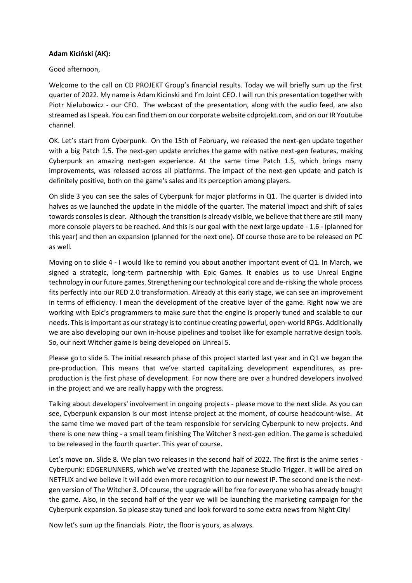## **Adam Kiciński (AK):**

## Good afternoon,

Welcome to the call on CD PROJEKT Group's financial results. Today we will briefly sum up the first quarter of 2022. My name is Adam Kicinski and I'm Joint CEO. I will run this presentation together with Piotr Nielubowicz - our CFO. The webcast of the presentation, along with the audio feed, are also streamed as I speak. You can find them on our corporate website cdprojekt.com, and on our IR Youtube channel.

OK. Let's start from Cyberpunk. On the 15th of February, we released the next-gen update together with a big Patch 1.5. The next-gen update enriches the game with native next-gen features, making Cyberpunk an amazing next-gen experience. At the same time Patch 1.5, which brings many improvements, was released across all platforms. The impact of the next-gen update and patch is definitely positive, both on the game's sales and its perception among players.

On slide 3 you can see the sales of Cyberpunk for major platforms in Q1. The quarter is divided into halves as we launched the update in the middle of the quarter. The material impact and shift of sales towards consoles is clear. Although the transition is already visible, we believe that there are still many more console players to be reached. And this is our goal with the next large update - 1.6 - (planned for this year) and then an expansion (planned for the next one). Of course those are to be released on PC as well.

Moving on to slide 4 - I would like to remind you about another important event of Q1. In March, we signed a strategic, long-term partnership with Epic Games. It enables us to use Unreal Engine technology in our future games. Strengthening our technological core and de-risking the whole process fits perfectly into our RED 2.0 transformation. Already at this early stage, we can see an improvement in terms of efficiency. I mean the development of the creative layer of the game. Right now we are working with Epic's programmers to make sure that the engine is properly tuned and scalable to our needs. This is important as our strategy is to continue creating powerful, open-world RPGs. Additionally we are also developing our own in-house pipelines and toolset like for example narrative design tools. So, our next Witcher game is being developed on Unreal 5.

Please go to slide 5. The initial research phase of this project started last year and in Q1 we began the pre-production. This means that we've started capitalizing development expenditures, as preproduction is the first phase of development. For now there are over a hundred developers involved in the project and we are really happy with the progress.

Talking about developers' involvement in ongoing projects - please move to the next slide. As you can see, Cyberpunk expansion is our most intense project at the moment, of course headcount-wise. At the same time we moved part of the team responsible for servicing Cyberpunk to new projects. And there is one new thing - a small team finishing The Witcher 3 next-gen edition. The game is scheduled to be released in the fourth quarter. This year of course.

Let's move on. Slide 8. We plan two releases in the second half of 2022. The first is the anime series - Cyberpunk: EDGERUNNERS, which we've created with the Japanese Studio Trigger. It will be aired on NETFLIX and we believe it will add even more recognition to our newest IP. The second one is the nextgen version of The Witcher 3. Of course, the upgrade will be free for everyone who has already bought the game. Also, in the second half of the year we will be launching the marketing campaign for the Cyberpunk expansion. So please stay tuned and look forward to some extra news from Night City!

Now let's sum up the financials. Piotr, the floor is yours, as always.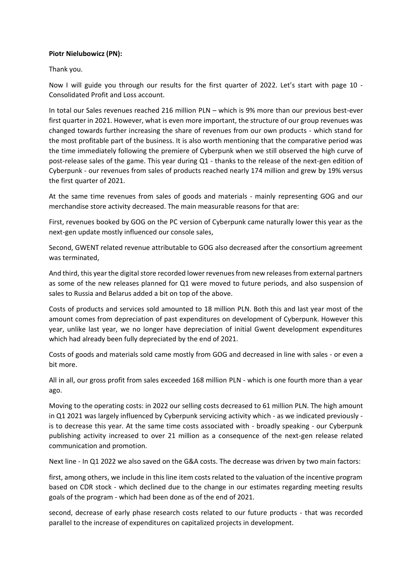## **Piotr Nielubowicz (PN):**

Thank you.

Now I will guide you through our results for the first quarter of 2022. Let's start with page 10 - Consolidated Profit and Loss account.

In total our Sales revenues reached 216 million PLN – which is 9% more than our previous best-ever first quarter in 2021. However, what is even more important, the structure of our group revenues was changed towards further increasing the share of revenues from our own products - which stand for the most profitable part of the business. It is also worth mentioning that the comparative period was the time immediately following the premiere of Cyberpunk when we still observed the high curve of post-release sales of the game. This year during Q1 - thanks to the release of the next-gen edition of Cyberpunk - our revenues from sales of products reached nearly 174 million and grew by 19% versus the first quarter of 2021.

At the same time revenues from sales of goods and materials - mainly representing GOG and our merchandise store activity decreased. The main measurable reasons for that are:

First, revenues booked by GOG on the PC version of Cyberpunk came naturally lower this year as the next-gen update mostly influenced our console sales,

Second, GWENT related revenue attributable to GOG also decreased after the consortium agreement was terminated,

And third, this year the digital store recorded lower revenues from new releases from external partners as some of the new releases planned for Q1 were moved to future periods, and also suspension of sales to Russia and Belarus added a bit on top of the above.

Costs of products and services sold amounted to 18 million PLN. Both this and last year most of the amount comes from depreciation of past expenditures on development of Cyberpunk. However this year, unlike last year, we no longer have depreciation of initial Gwent development expenditures which had already been fully depreciated by the end of 2021.

Costs of goods and materials sold came mostly from GOG and decreased in line with sales - or even a bit more.

All in all, our gross profit from sales exceeded 168 million PLN - which is one fourth more than a year ago.

Moving to the operating costs: in 2022 our selling costs decreased to 61 million PLN. The high amount in Q1 2021 was largely influenced by Cyberpunk servicing activity which - as we indicated previously is to decrease this year. At the same time costs associated with - broadly speaking - our Cyberpunk publishing activity increased to over 21 million as a consequence of the next-gen release related communication and promotion.

Next line - In Q1 2022 we also saved on the G&A costs. The decrease was driven by two main factors:

first, among others, we include in this line item costs related to the valuation of the incentive program based on CDR stock - which declined due to the change in our estimates regarding meeting results goals of the program - which had been done as of the end of 2021.

second, decrease of early phase research costs related to our future products - that was recorded parallel to the increase of expenditures on capitalized projects in development.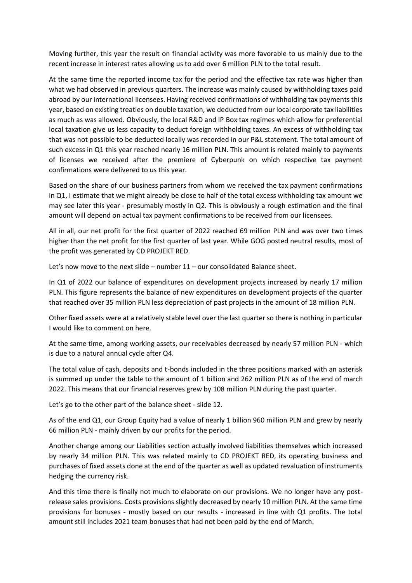Moving further, this year the result on financial activity was more favorable to us mainly due to the recent increase in interest rates allowing us to add over 6 million PLN to the total result.

At the same time the reported income tax for the period and the effective tax rate was higher than what we had observed in previous quarters. The increase was mainly caused by withholding taxes paid abroad by our international licensees. Having received confirmations of withholding tax payments this year, based on existing treaties on double taxation, we deducted from our local corporate tax liabilities as much as was allowed. Obviously, the local R&D and IP Box tax regimes which allow for preferential local taxation give us less capacity to deduct foreign withholding taxes. An excess of withholding tax that was not possible to be deducted locally was recorded in our P&L statement. The total amount of such excess in Q1 this year reached nearly 16 million PLN. This amount is related mainly to payments of licenses we received after the premiere of Cyberpunk on which respective tax payment confirmations were delivered to us this year.

Based on the share of our business partners from whom we received the tax payment confirmations in Q1, I estimate that we might already be close to half of the total excess withholding tax amount we may see later this year - presumably mostly in Q2. This is obviously a rough estimation and the final amount will depend on actual tax payment confirmations to be received from our licensees.

All in all, our net profit for the first quarter of 2022 reached 69 million PLN and was over two times higher than the net profit for the first quarter of last year. While GOG posted neutral results, most of the profit was generated by CD PROJEKT RED.

Let's now move to the next slide – number 11 – our consolidated Balance sheet.

In Q1 of 2022 our balance of expenditures on development projects increased by nearly 17 million PLN. This figure represents the balance of new expenditures on development projects of the quarter that reached over 35 million PLN less depreciation of past projects in the amount of 18 million PLN.

Other fixed assets were at a relatively stable level over the last quarter so there is nothing in particular I would like to comment on here.

At the same time, among working assets, our receivables decreased by nearly 57 million PLN - which is due to a natural annual cycle after Q4.

The total value of cash, deposits and t-bonds included in the three positions marked with an asterisk is summed up under the table to the amount of 1 billion and 262 million PLN as of the end of march 2022. This means that our financial reserves grew by 108 million PLN during the past quarter.

Let's go to the other part of the balance sheet - slide 12.

As of the end Q1, our Group Equity had a value of nearly 1 billion 960 million PLN and grew by nearly 66 million PLN - mainly driven by our profits for the period.

Another change among our Liabilities section actually involved liabilities themselves which increased by nearly 34 million PLN. This was related mainly to CD PROJEKT RED, its operating business and purchases of fixed assets done at the end of the quarter as well as updated revaluation of instruments hedging the currency risk.

And this time there is finally not much to elaborate on our provisions. We no longer have any postrelease sales provisions. Costs provisions slightly decreased by nearly 10 million PLN. At the same time provisions for bonuses - mostly based on our results - increased in line with Q1 profits. The total amount still includes 2021 team bonuses that had not been paid by the end of March.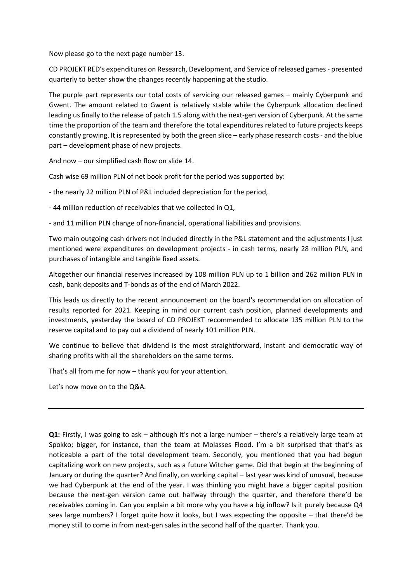Now please go to the next page number 13.

CD PROJEKT RED's expenditures on Research, Development, and Service of released games - presented quarterly to better show the changes recently happening at the studio.

The purple part represents our total costs of servicing our released games – mainly Cyberpunk and Gwent. The amount related to Gwent is relatively stable while the Cyberpunk allocation declined leading us finally to the release of patch 1.5 along with the next-gen version of Cyberpunk. At the same time the proportion of the team and therefore the total expenditures related to future projects keeps constantly growing. It is represented by both the green slice – early phase research costs - and the blue part – development phase of new projects.

And now – our simplified cash flow on slide 14.

Cash wise 69 million PLN of net book profit for the period was supported by:

- the nearly 22 million PLN of P&L included depreciation for the period,

- 44 million reduction of receivables that we collected in Q1,

- and 11 million PLN change of non-financial, operational liabilities and provisions.

Two main outgoing cash drivers not included directly in the P&L statement and the adjustments I just mentioned were expenditures on development projects - in cash terms, nearly 28 million PLN, and purchases of intangible and tangible fixed assets.

Altogether our financial reserves increased by 108 million PLN up to 1 billion and 262 million PLN in cash, bank deposits and T-bonds as of the end of March 2022.

This leads us directly to the recent announcement on the board's recommendation on allocation of results reported for 2021. Keeping in mind our current cash position, planned developments and investments, yesterday the board of CD PROJEKT recommended to allocate 135 million PLN to the reserve capital and to pay out a dividend of nearly 101 million PLN.

We continue to believe that dividend is the most straightforward, instant and democratic way of sharing profits with all the shareholders on the same terms.

That's all from me for now – thank you for your attention.

Let's now move on to the Q&A.

**Q1:** Firstly, I was going to ask – although it's not a large number – there's a relatively large team at Spokko; bigger, for instance, than the team at Molasses Flood. I'm a bit surprised that that's as noticeable a part of the total development team. Secondly, you mentioned that you had begun capitalizing work on new projects, such as a future Witcher game. Did that begin at the beginning of January or during the quarter? And finally, on working capital – last year was kind of unusual, because we had Cyberpunk at the end of the year. I was thinking you might have a bigger capital position because the next-gen version came out halfway through the quarter, and therefore there'd be receivables coming in. Can you explain a bit more why you have a big inflow? Is it purely because Q4 sees large numbers? I forget quite how it looks, but I was expecting the opposite – that there'd be money still to come in from next-gen sales in the second half of the quarter. Thank you.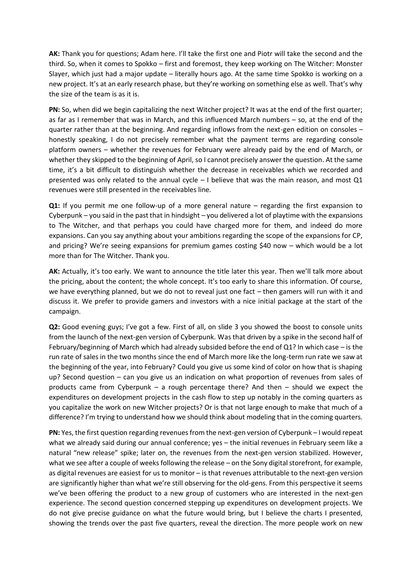**AK:** Thank you for questions; Adam here. I'll take the first one and Piotr will take the second and the third. So, when it comes to Spokko – first and foremost, they keep working on The Witcher: Monster Slayer, which just had a major update – literally hours ago. At the same time Spokko is working on a new project. It's at an early research phase, but they're working on something else as well. That's why the size of the team is as it is.

**PN:** So, when did we begin capitalizing the next Witcher project? It was at the end of the first quarter; as far as I remember that was in March, and this influenced March numbers – so, at the end of the quarter rather than at the beginning. And regarding inflows from the next-gen edition on consoles – honestly speaking, I do not precisely remember what the payment terms are regarding console platform owners – whether the revenues for February were already paid by the end of March, or whether they skipped to the beginning of April, so I cannot precisely answer the question. At the same time, it's a bit difficult to distinguish whether the decrease in receivables which we recorded and presented was only related to the annual cycle  $-1$  believe that was the main reason, and most  $Q1$ revenues were still presented in the receivables line.

**Q1:** If you permit me one follow-up of a more general nature – regarding the first expansion to Cyberpunk – you said in the past that in hindsight – you delivered a lot of playtime with the expansions to The Witcher, and that perhaps you could have charged more for them, and indeed do more expansions. Can you say anything about your ambitions regarding the scope of the expansions for CP, and pricing? We're seeing expansions for premium games costing \$40 now – which would be a lot more than for The Witcher. Thank you.

**AK:** Actually, it's too early. We want to announce the title later this year. Then we'll talk more about the pricing, about the content; the whole concept. It's too early to share this information. Of course, we have everything planned, but we do not to reveal just one fact – then gamers will run with it and discuss it. We prefer to provide gamers and investors with a nice initial package at the start of the campaign.

**Q2:** Good evening guys; I've got a few. First of all, on slide 3 you showed the boost to console units from the launch of the next-gen version of Cyberpunk. Was that driven by a spike in the second half of February/beginning of March which had already subsided before the end of Q1? In which case – is the run rate of sales in the two months since the end of March more like the long-term run rate we saw at the beginning of the year, into February? Could you give us some kind of color on how that is shaping up? Second question – can you give us an indication on what proportion of revenues from sales of products came from Cyberpunk – a rough percentage there? And then – should we expect the expenditures on development projects in the cash flow to step up notably in the coming quarters as you capitalize the work on new Witcher projects? Or is that not large enough to make that much of a difference? I'm trying to understand how we should think about modeling that in the coming quarters.

**PN:** Yes, the first question regarding revenues from the next-gen version of Cyberpunk – I would repeat what we already said during our annual conference; yes - the initial revenues in February seem like a natural "new release" spike; later on, the revenues from the next-gen version stabilized. However, what we see after a couple of weeks following the release – on the Sony digital storefront, for example, as digital revenues are easiest for us to monitor – is that revenues attributable to the next-gen version are significantly higher than what we're still observing for the old-gens. From this perspective it seems we've been offering the product to a new group of customers who are interested in the next-gen experience. The second question concerned stepping up expenditures on development projects. We do not give precise guidance on what the future would bring, but I believe the charts I presented, showing the trends over the past five quarters, reveal the direction. The more people work on new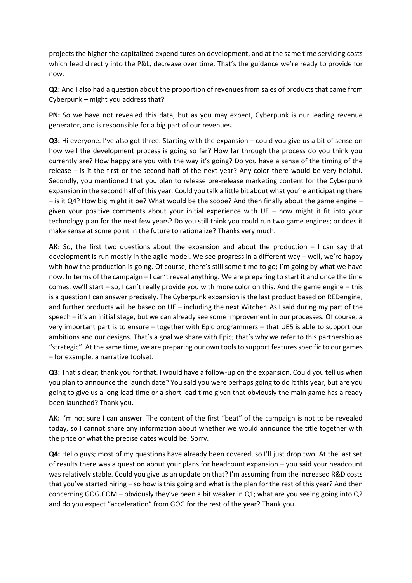projects the higher the capitalized expenditures on development, and at the same time servicing costs which feed directly into the P&L, decrease over time. That's the guidance we're ready to provide for now.

**Q2:** And I also had a question about the proportion of revenues from sales of products that came from Cyberpunk – might you address that?

**PN:** So we have not revealed this data, but as you may expect, Cyberpunk is our leading revenue generator, and is responsible for a big part of our revenues.

**Q3:** Hi everyone. I've also got three. Starting with the expansion – could you give us a bit of sense on how well the development process is going so far? How far through the process do you think you currently are? How happy are you with the way it's going? Do you have a sense of the timing of the release – is it the first or the second half of the next year? Any color there would be very helpful. Secondly, you mentioned that you plan to release pre-release marketing content for the Cyberpunk expansion in the second half of this year. Could you talk a little bit about what you're anticipating there  $-$  is it Q4? How big might it be? What would be the scope? And then finally about the game engine  $$ given your positive comments about your initial experience with UE – how might it fit into your technology plan for the next few years? Do you still think you could run two game engines; or does it make sense at some point in the future to rationalize? Thanks very much.

**AK:** So, the first two questions about the expansion and about the production – I can say that development is run mostly in the agile model. We see progress in a different way – well, we're happy with how the production is going. Of course, there's still some time to go; I'm going by what we have now. In terms of the campaign – I can't reveal anything. We are preparing to start it and once the time comes, we'll start – so, I can't really provide you with more color on this. And the game engine – this is a question I can answer precisely. The Cyberpunk expansion is the last product based on REDengine, and further products will be based on UE – including the next Witcher. As I said during my part of the speech – it's an initial stage, but we can already see some improvement in our processes. Of course, a very important part is to ensure – together with Epic programmers – that UE5 is able to support our ambitions and our designs. That's a goal we share with Epic; that's why we refer to this partnership as "strategic". At the same time, we are preparing our own tools to support features specific to our games – for example, a narrative toolset.

**Q3:** That's clear; thank you for that. I would have a follow-up on the expansion. Could you tell us when you plan to announce the launch date? You said you were perhaps going to do it this year, but are you going to give us a long lead time or a short lead time given that obviously the main game has already been launched? Thank you.

**AK:** I'm not sure I can answer. The content of the first "beat" of the campaign is not to be revealed today, so I cannot share any information about whether we would announce the title together with the price or what the precise dates would be. Sorry.

**Q4:** Hello guys; most of my questions have already been covered, so I'll just drop two. At the last set of results there was a question about your plans for headcount expansion – you said your headcount was relatively stable. Could you give us an update on that? I'm assuming from the increased R&D costs that you've started hiring – so how is this going and what is the plan for the rest of this year? And then concerning GOG.COM – obviously they've been a bit weaker in Q1; what are you seeing going into Q2 and do you expect "acceleration" from GOG for the rest of the year? Thank you.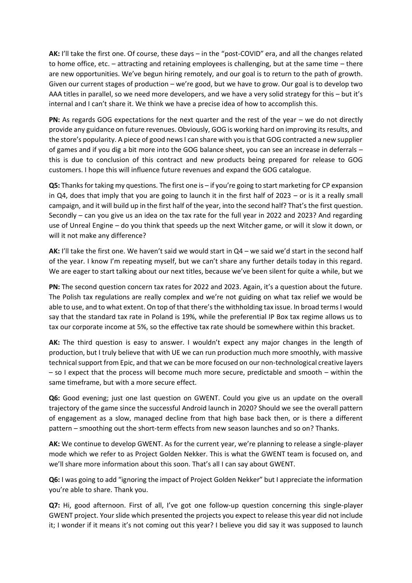**AK:** I'll take the first one. Of course, these days – in the "post-COVID" era, and all the changes related to home office, etc. – attracting and retaining employees is challenging, but at the same time – there are new opportunities. We've begun hiring remotely, and our goal is to return to the path of growth. Given our current stages of production – we're good, but we have to grow. Our goal is to develop two AAA titles in parallel, so we need more developers, and we have a very solid strategy for this – but it's internal and I can't share it. We think we have a precise idea of how to accomplish this.

**PN:** As regards GOG expectations for the next quarter and the rest of the year – we do not directly provide any guidance on future revenues. Obviously, GOG is working hard on improving its results, and the store's popularity. A piece of good news I can share with you is that GOG contracted a new supplier of games and if you dig a bit more into the GOG balance sheet, you can see an increase in deferrals – this is due to conclusion of this contract and new products being prepared for release to GOG customers. I hope this will influence future revenues and expand the GOG catalogue.

**Q5:** Thanks for taking my questions. The first one is – if you're going to start marketing for CP expansion in Q4, does that imply that you are going to launch it in the first half of 2023 – or is it a really small campaign, and it will build up in the first half of the year, into the second half? That's the first question. Secondly – can you give us an idea on the tax rate for the full year in 2022 and 2023? And regarding use of Unreal Engine – do you think that speeds up the next Witcher game, or will it slow it down, or will it not make any difference?

**AK:** I'll take the first one. We haven't said we would start in Q4 – we said we'd start in the second half of the year. I know I'm repeating myself, but we can't share any further details today in this regard. We are eager to start talking about our next titles, because we've been silent for quite a while, but we

**PN:** The second question concern tax rates for 2022 and 2023. Again, it's a question about the future. The Polish tax regulations are really complex and we're not guiding on what tax relief we would be able to use, and to what extent. On top of that there's the withholding tax issue. In broad terms I would say that the standard tax rate in Poland is 19%, while the preferential IP Box tax regime allows us to tax our corporate income at 5%, so the effective tax rate should be somewhere within this bracket.

**AK:** The third question is easy to answer. I wouldn't expect any major changes in the length of production, but I truly believe that with UE we can run production much more smoothly, with massive technical support from Epic, and that we can be more focused on our non-technological creative layers – so I expect that the process will become much more secure, predictable and smooth – within the same timeframe, but with a more secure effect.

**Q6:** Good evening; just one last question on GWENT. Could you give us an update on the overall trajectory of the game since the successful Android launch in 2020? Should we see the overall pattern of engagement as a slow, managed decline from that high base back then, or is there a different pattern – smoothing out the short-term effects from new season launches and so on? Thanks.

**AK:** We continue to develop GWENT. As for the current year, we're planning to release a single-player mode which we refer to as Project Golden Nekker. This is what the GWENT team is focused on, and we'll share more information about this soon. That's all I can say about GWENT.

**Q6:** I was going to add "ignoring the impact of Project Golden Nekker" but I appreciate the information you're able to share. Thank you.

**Q7:** Hi, good afternoon. First of all, I've got one follow-up question concerning this single-player GWENT project. Your slide which presented the projects you expect to release this year did not include it; I wonder if it means it's not coming out this year? I believe you did say it was supposed to launch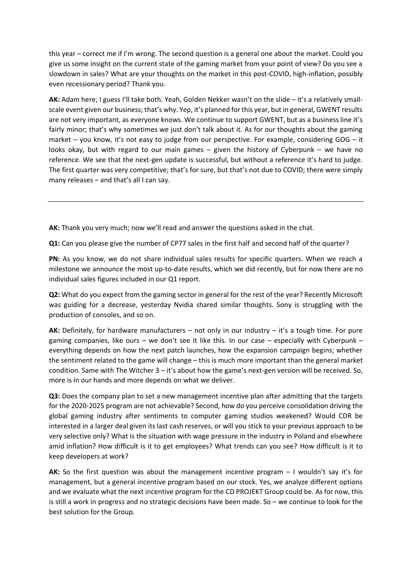this year – correct me if I'm wrong. The second question is a general one about the market. Could you give us some insight on the current state of the gaming market from your point of view? Do you see a slowdown in sales? What are your thoughts on the market in this post-COVID, high-inflation, possibly even recessionary period? Thank you.

**AK:** Adam here; I guess I'll take both. Yeah, Golden Nekker wasn't on the slide – it's a relatively smallscale event given our business; that's why. Yep, it's planned for this year, but in general, GWENT results are not very important, as everyone knows. We continue to support GWENT, but as a business line it's fairly minor; that's why sometimes we just don't talk about it. As for our thoughts about the gaming market – you know, it's not easy to judge from our perspective. For example, considering GOG – it looks okay, but with regard to our main games – given the history of Cyberpunk – we have no reference. We see that the next-gen update is successful, but without a reference it's hard to judge. The first quarter was very competitive; that's for sure, but that's not due to COVID; there were simply many releases – and that's all I can say.

**AK:** Thank you very much; now we'll read and answer the questions asked in the chat.

**Q1:** Can you please give the number of CP77 sales in the first half and second half of the quarter?

**PN:** As you know, we do not share individual sales results for specific quarters. When we reach a milestone we announce the most up-to-date results, which we did recently, but for now there are no individual sales figures included in our Q1 report.

**Q2:** What do you expect from the gaming sector in general for the rest of the year? Recently Microsoft was guiding for a decrease, yesterday Nvidia shared similar thoughts. Sony is struggling with the production of consoles, and so on.

**AK:** Definitely, for hardware manufacturers – not only in our industry – it's a tough time. For pure gaming companies, like ours – we don't see it like this. In our case – especially with Cyberpunk – everything depends on how the next patch launches, how the expansion campaign begins; whether the sentiment related to the game will change – this is much more important than the general market condition. Same with The Witcher 3 – it's about how the game's next-gen version will be received. So, more is in our hands and more depends on what we deliver.

**Q3:** Does the company plan to set a new management incentive plan after admitting that the targets for the 2020-2025 program are not achievable? Second, how do you perceive consolidation driving the global gaming industry after sentiments to computer gaming studios weakened? Would CDR be interested in a larger deal given its last cash reserves, or will you stick to your previous approach to be very selective only? What is the situation with wage pressure in the industry in Poland and elsewhere amid inflation? How difficult is it to get employees? What trends can you see? How difficult is it to keep developers at work?

**AK:** So the first question was about the management incentive program – I wouldn't say it's for management, but a general incentive program based on our stock. Yes, we analyze different options and we evaluate what the next incentive program for the CD PROJEKT Group could be. As for now, this is still a work in progress and no strategic decisions have been made. So – we continue to look for the best solution for the Group.